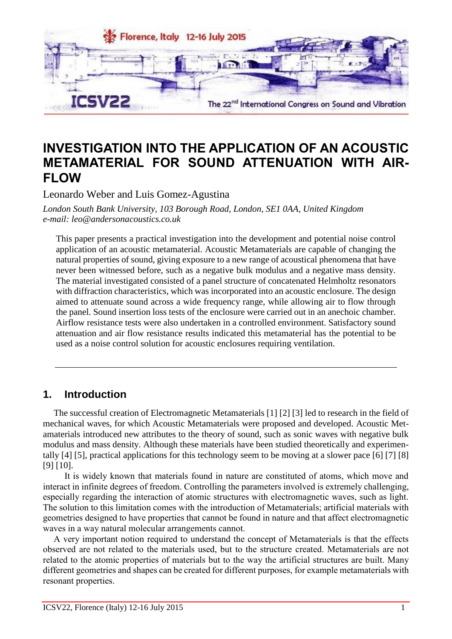

# **INVESTIGATION INTO THE APPLICATION OF AN ACOUSTIC METAMATERIAL FOR SOUND ATTENUATION WITH AIR-FLOW**

Leonardo Weber and Luis Gomez-Agustina

*London South Bank University, 103 Borough Road, London, SE1 0AA, United Kingdom e-mail: leo@andersonacoustics.co.uk*

This paper presents a practical investigation into the development and potential noise control application of an acoustic metamaterial. Acoustic Metamaterials are capable of changing the natural properties of sound, giving exposure to a new range of acoustical phenomena that have never been witnessed before, such as a negative bulk modulus and a negative mass density. The material investigated consisted of a panel structure of concatenated Helmholtz resonators with diffraction characteristics, which was incorporated into an acoustic enclosure. The design aimed to attenuate sound across a wide frequency range, while allowing air to flow through the panel. Sound insertion loss tests of the enclosure were carried out in an anechoic chamber. Airflow resistance tests were also undertaken in a controlled environment. Satisfactory sound attenuation and air flow resistance results indicated this metamaterial has the potential to be used as a noise control solution for acoustic enclosures requiring ventilation.

## **1. Introduction**

The successful creation of Electromagnetic Metamaterials [1] [2] [3] led to research in the field of mechanical waves, for which Acoustic Metamaterials were proposed and developed. Acoustic Metamaterials introduced new attributes to the theory of sound, such as sonic waves with negative bulk modulus and mass density. Although these materials have been studied theoretically and experimentally [4] [5], practical applications for this technology seem to be moving at a slower pace [6] [7] [8] [9] [10].

It is widely known that materials found in nature are constituted of atoms, which move and interact in infinite degrees of freedom. Controlling the parameters involved is extremely challenging, especially regarding the interaction of atomic structures with electromagnetic waves, such as light. The solution to this limitation comes with the introduction of Metamaterials; artificial materials with geometries designed to have properties that cannot be found in nature and that affect electromagnetic waves in a way natural molecular arrangements cannot.

A very important notion required to understand the concept of Metamaterials is that the effects observed are not related to the materials used, but to the structure created. Metamaterials are not related to the atomic properties of materials but to the way the artificial structures are built. Many different geometries and shapes can be created for different purposes, for example metamaterials with resonant properties.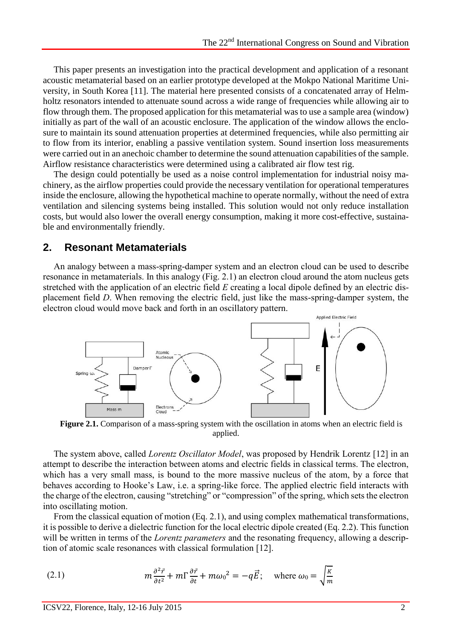This paper presents an investigation into the practical development and application of a resonant acoustic metamaterial based on an earlier prototype developed at the Mokpo National Maritime University, in South Korea [11]. The material here presented consists of a concatenated array of Helmholtz resonators intended to attenuate sound across a wide range of frequencies while allowing air to flow through them. The proposed application for this metamaterial was to use a sample area (window) initially as part of the wall of an acoustic enclosure. The application of the window allows the enclosure to maintain its sound attenuation properties at determined frequencies, while also permitting air to flow from its interior, enabling a passive ventilation system. Sound insertion loss measurements were carried out in an anechoic chamber to determine the sound attenuation capabilities of the sample. Airflow resistance characteristics were determined using a calibrated air flow test rig.

The design could potentially be used as a noise control implementation for industrial noisy machinery, as the airflow properties could provide the necessary ventilation for operational temperatures inside the enclosure, allowing the hypothetical machine to operate normally, without the need of extra ventilation and silencing systems being installed. This solution would not only reduce installation costs, but would also lower the overall energy consumption, making it more cost-effective, sustainable and environmentally friendly.

### **2. Resonant Metamaterials**

An analogy between a mass-spring-damper system and an electron cloud can be used to describe resonance in metamaterials. In this analogy (Fig. 2.1) an electron cloud around the atom nucleus gets stretched with the application of an electric field *E* creating a local dipole defined by an electric displacement field *D*. When removing the electric field, just like the mass-spring-damper system, the electron cloud would move back and forth in an oscillatory pattern.



**Figure 2.1.** Comparison of a mass-spring system with the oscillation in atoms when an electric field is applied.

The system above, called *Lorentz Oscillator Model*, was proposed by Hendrik Lorentz [12] in an attempt to describe the interaction between atoms and electric fields in classical terms. The electron, which has a very small mass, is bound to the more massive nucleus of the atom, by a force that behaves according to Hooke's Law, i.e. a spring-like force. The applied electric field interacts with the charge of the electron, causing "stretching" or "compression" of the spring, which sets the electron into oscillating motion.

From the classical equation of motion (Eq. 2.1), and using complex mathematical transformations, it is possible to derive a dielectric function for the local electric dipole created (Eq. 2.2). This function will be written in terms of the *Lorentz parameters* and the resonating frequency, allowing a description of atomic scale resonances with classical formulation [12].

(2.1) 
$$
m \frac{\partial^2 \vec{r}}{\partial t^2} + m \Gamma \frac{\partial \vec{r}}{\partial t} + m \omega_0^2 = -q \vec{E}; \text{ where } \omega_0 = \sqrt{\frac{\kappa}{m}}
$$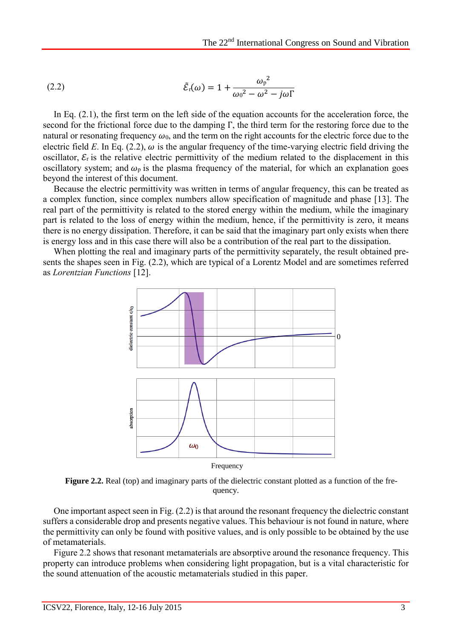(2.2) 
$$
\tilde{\mathcal{E}}_{\rm r}(\omega) = 1 + \frac{\omega_{\rm p}^2}{\omega_0^2 - \omega^2 - j\omega\Gamma}
$$

In Eq.  $(2.1)$ , the first term on the left side of the equation accounts for the acceleration force, the second for the frictional force due to the damping Γ, the third term for the restoring force due to the natural or resonating frequency  $\omega_0$ , and the term on the right accounts for the electric force due to the electric field *E*. In Eq. (2.2),  $\omega$  is the angular frequency of the time-varying electric field driving the oscillator,  $\mathcal{E}_r$  is the relative electric permittivity of the medium related to the displacement in this oscillatory system; and  $\omega_p$  is the plasma frequency of the material, for which an explanation goes beyond the interest of this document.

Because the electric permittivity was written in terms of angular frequency, this can be treated as a complex function, since complex numbers allow specification of magnitude and phase [13]. The real part of the permittivity is related to the stored energy within the medium, while the imaginary part is related to the loss of energy within the medium, hence, if the permittivity is zero, it means there is no energy dissipation. Therefore, it can be said that the imaginary part only exists when there is energy loss and in this case there will also be a contribution of the real part to the dissipation.

When plotting the real and imaginary parts of the permittivity separately, the result obtained presents the shapes seen in Fig. (2.2), which are typical of a Lorentz Model and are sometimes referred as *Lorentzian Functions* [12].



**Figure 2.2.** Real (top) and imaginary parts of the dielectric constant plotted as a function of the frequency.

One important aspect seen in Fig. (2.2) is that around the resonant frequency the dielectric constant suffers a considerable drop and presents negative values. This behaviour is not found in nature, where the permittivity can only be found with positive values, and is only possible to be obtained by the use of metamaterials.

Figure 2.2 shows that resonant metamaterials are absorptive around the resonance frequency. This property can introduce problems when considering light propagation, but is a vital characteristic for the sound attenuation of the acoustic metamaterials studied in this paper.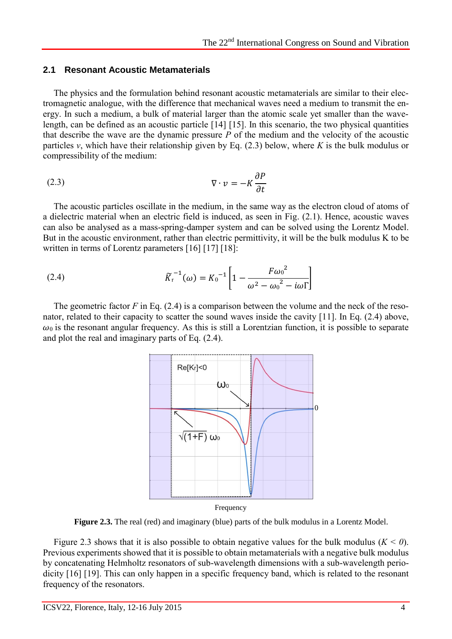#### **2.1 Resonant Acoustic Metamaterials**

The physics and the formulation behind resonant acoustic metamaterials are similar to their electromagnetic analogue, with the difference that mechanical waves need a medium to transmit the energy. In such a medium, a bulk of material larger than the atomic scale yet smaller than the wavelength, can be defined as an acoustic particle [14] [15]. In this scenario, the two physical quantities that describe the wave are the dynamic pressure *P* of the medium and the velocity of the acoustic particles  $v$ , which have their relationship given by Eq. (2.3) below, where *K* is the bulk modulus or compressibility of the medium:

$$
\nabla \cdot \mathbf{v} = -K \frac{\partial P}{\partial t}
$$

The acoustic particles oscillate in the medium, in the same way as the electron cloud of atoms of a dielectric material when an electric field is induced, as seen in Fig. (2.1). Hence, acoustic waves can also be analysed as a mass-spring-damper system and can be solved using the Lorentz Model. But in the acoustic environment, rather than electric permittivity, it will be the bulk modulus K to be written in terms of Lorentz parameters [16] [17] [18]:

(2.4) 
$$
\widetilde{K}_{r}^{-1}(\omega) = K_{0}^{-1} \left[ 1 - \frac{F \omega_{0}^{2}}{\omega^{2} - \omega_{0}^{2} - i \omega \Gamma} \right]
$$

The geometric factor  $F$  in Eq. (2.4) is a comparison between the volume and the neck of the resonator, related to their capacity to scatter the sound waves inside the cavity [11]. In Eq. (2.4) above,  $\omega_0$  is the resonant angular frequency. As this is still a Lorentzian function, it is possible to separate and plot the real and imaginary parts of Eq. (2.4).



**Figure 2.3.** The real (red) and imaginary (blue) parts of the bulk modulus in a Lorentz Model.

Figure 2.3 shows that it is also possible to obtain negative values for the bulk modulus (*K < 0*). Previous experiments showed that it is possible to obtain metamaterials with a negative bulk modulus by concatenating Helmholtz resonators of sub-wavelength dimensions with a sub-wavelength periodicity [16] [19]. This can only happen in a specific frequency band, which is related to the resonant frequency of the resonators.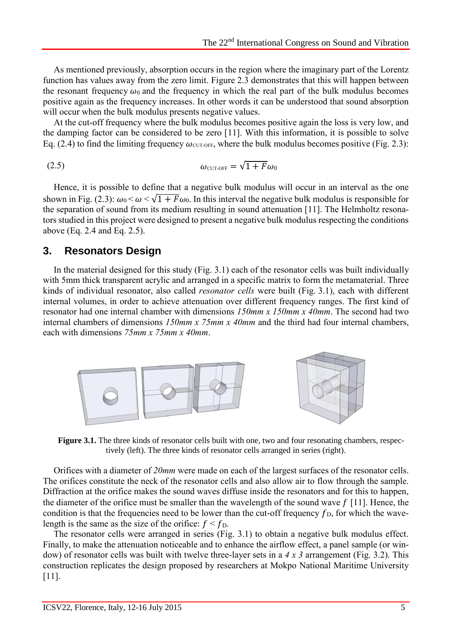As mentioned previously, absorption occurs in the region where the imaginary part of the Lorentz function has values away from the zero limit. Figure 2.3 demonstrates that this will happen between the resonant frequency  $\omega_0$  and the frequency in which the real part of the bulk modulus becomes positive again as the frequency increases. In other words it can be understood that sound absorption will occur when the bulk modulus presents negative values.

At the cut-off frequency where the bulk modulus becomes positive again the loss is very low, and the damping factor can be considered to be zero [11]. With this information, it is possible to solve Eq. (2.4) to find the limiting frequency  $\omega_{\text{CUT-OFF}}$ , where the bulk modulus becomes positive (Fig. 2.3):

$$
\omega_{\text{CUT-OFF}} = \sqrt{1 + F} \omega_0
$$

Hence, it is possible to define that a negative bulk modulus will occur in an interval as the one shown in Fig. (2.3):  $\omega_0 < \omega < \sqrt{1 + F \omega_0}$ . In this interval the negative bulk modulus is responsible for the separation of sound from its medium resulting in sound attenuation [11]. The Helmholtz resonators studied in this project were designed to present a negative bulk modulus respecting the conditions above (Eq. 2.4 and Eq. 2.5).

#### **3. Resonators Design**

In the material designed for this study (Fig. 3.1) each of the resonator cells was built individually with 5mm thick transparent acrylic and arranged in a specific matrix to form the metamaterial. Three kinds of individual resonator, also called *resonator cells* were built (Fig. 3.1), each with different internal volumes, in order to achieve attenuation over different frequency ranges. The first kind of resonator had one internal chamber with dimensions *150mm x 150mm x 40mm*. The second had two internal chambers of dimensions *150mm x 75mm x 40mm* and the third had four internal chambers, each with dimensions *75mm x 75mm x 40mm*.



**Figure 3.1.** The three kinds of resonator cells built with one, two and four resonating chambers, respectively (left). The three kinds of resonator cells arranged in series (right).

Orifices with a diameter of *20mm* were made on each of the largest surfaces of the resonator cells. The orifices constitute the neck of the resonator cells and also allow air to flow through the sample. Diffraction at the orifice makes the sound waves diffuse inside the resonators and for this to happen, the diameter of the orifice must be smaller than the wavelength of the sound wave  $f[11]$ . Hence, the condition is that the frequencies need to be lower than the cut-off frequency  $f<sub>D</sub>$ , for which the wavelength is the same as the size of the orifice:  $f < f<sub>D</sub>$ .

The resonator cells were arranged in series (Fig. 3.1) to obtain a negative bulk modulus effect. Finally, to make the attenuation noticeable and to enhance the airflow effect, a panel sample (or window) of resonator cells was built with twelve three-layer sets in a *4 x 3* arrangement (Fig. 3.2). This construction replicates the design proposed by researchers at Mokpo National Maritime University [11].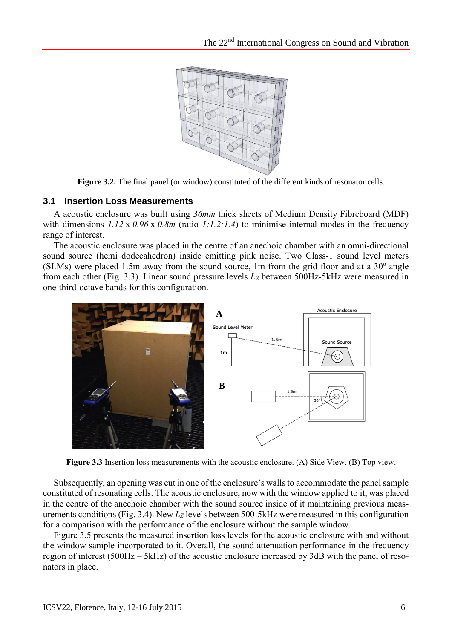

**Figure 3.2.** The final panel (or window) constituted of the different kinds of resonator cells.

#### **3.1 Insertion Loss Measurements**

A acoustic enclosure was built using *36mm* thick sheets of Medium Density Fibreboard (MDF) with dimensions *1.12* x *0.96* x *0.8m* (ratio *1:1.2:1.4*) to minimise internal modes in the frequency range of interest.

The acoustic enclosure was placed in the centre of an anechoic chamber with an omni-directional sound source (hemi dodecahedron) inside emitting pink noise. Two Class-1 sound level meters  $(SLMs)$  were placed 1.5m away from the sound source, 1m from the grid floor and at a  $30^{\circ}$  angle from each other (Fig. 3.3). Linear sound pressure levels *L<sup>Z</sup>* between 500Hz-5kHz were measured in one-third-octave bands for this configuration.



**Figure 3.3** Insertion loss measurements with the acoustic enclosure. (A) Side View. (B) Top view.

Subsequently, an opening was cut in one of the enclosure's walls to accommodate the panel sample constituted of resonating cells. The acoustic enclosure, now with the window applied to it, was placed in the centre of the anechoic chamber with the sound source inside of it maintaining previous measurements conditions (Fig. 3.4). New *L<sup>Z</sup>* levels between 500-5kHz were measured in this configuration for a comparison with the performance of the enclosure without the sample window.

Figure 3.5 presents the measured insertion loss levels for the acoustic enclosure with and without the window sample incorporated to it. Overall, the sound attenuation performance in the frequency region of interest (500Hz – 5kHz) of the acoustic enclosure increased by 3dB with the panel of resonators in place.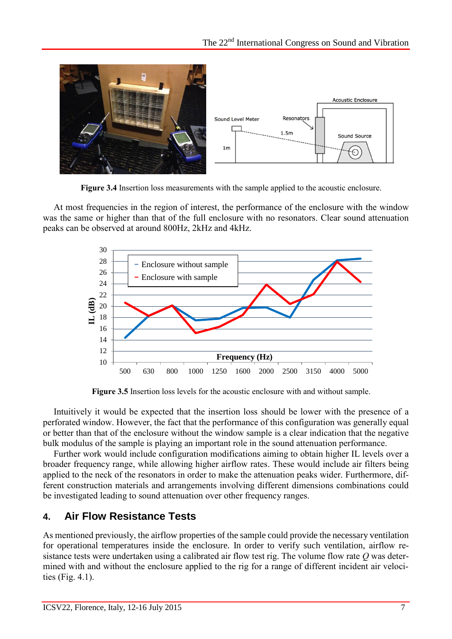

**Figure 3.4** Insertion loss measurements with the sample applied to the acoustic enclosure.

At most frequencies in the region of interest, the performance of the enclosure with the window was the same or higher than that of the full enclosure with no resonators. Clear sound attenuation peaks can be observed at around 800Hz, 2kHz and 4kHz.



**Figure 3.5** Insertion loss levels for the acoustic enclosure with and without sample.

Intuitively it would be expected that the insertion loss should be lower with the presence of a perforated window. However, the fact that the performance of this configuration was generally equal or better than that of the enclosure without the window sample is a clear indication that the negative bulk modulus of the sample is playing an important role in the sound attenuation performance.

Further work would include configuration modifications aiming to obtain higher IL levels over a broader frequency range, while allowing higher airflow rates. These would include air filters being applied to the neck of the resonators in order to make the attenuation peaks wider. Furthermore, different construction materials and arrangements involving different dimensions combinations could be investigated leading to sound attenuation over other frequency ranges.

## **4. Air Flow Resistance Tests**

As mentioned previously, the airflow properties of the sample could provide the necessary ventilation for operational temperatures inside the enclosure. In order to verify such ventilation, airflow resistance tests were undertaken using a calibrated air flow test rig. The volume flow rate *Q* was determined with and without the enclosure applied to the rig for a range of different incident air velocities (Fig. 4.1).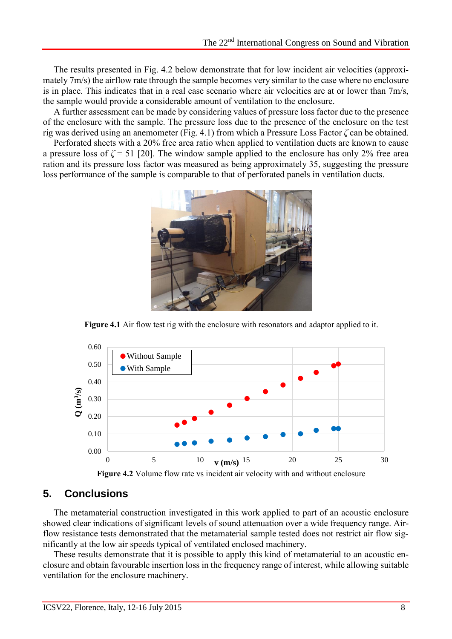The results presented in Fig. 4.2 below demonstrate that for low incident air velocities (approximately 7m/s) the airflow rate through the sample becomes very similar to the case where no enclosure is in place. This indicates that in a real case scenario where air velocities are at or lower than 7m/s, the sample would provide a considerable amount of ventilation to the enclosure.

A further assessment can be made by considering values of pressure loss factor due to the presence of the enclosure with the sample. The pressure loss due to the presence of the enclosure on the test rig was derived using an anemometer (Fig. 4.1) from which a Pressure Loss Factor *ζ* can be obtained.

Perforated sheets with a 20% free area ratio when applied to ventilation ducts are known to cause a pressure loss of  $\zeta = 51$  [20]. The window sample applied to the enclosure has only 2% free area ration and its pressure loss factor was measured as being approximately 35, suggesting the pressure loss performance of the sample is comparable to that of perforated panels in ventilation ducts.



**Figure 4.1** Air flow test rig with the enclosure with resonators and adaptor applied to it.



**Figure 4.2** Volume flow rate vs incident air velocity with and without enclosure

## **5. Conclusions**

The metamaterial construction investigated in this work applied to part of an acoustic enclosure showed clear indications of significant levels of sound attenuation over a wide frequency range. Airflow resistance tests demonstrated that the metamaterial sample tested does not restrict air flow significantly at the low air speeds typical of ventilated enclosed machinery.

These results demonstrate that it is possible to apply this kind of metamaterial to an acoustic enclosure and obtain favourable insertion loss in the frequency range of interest, while allowing suitable ventilation for the enclosure machinery.